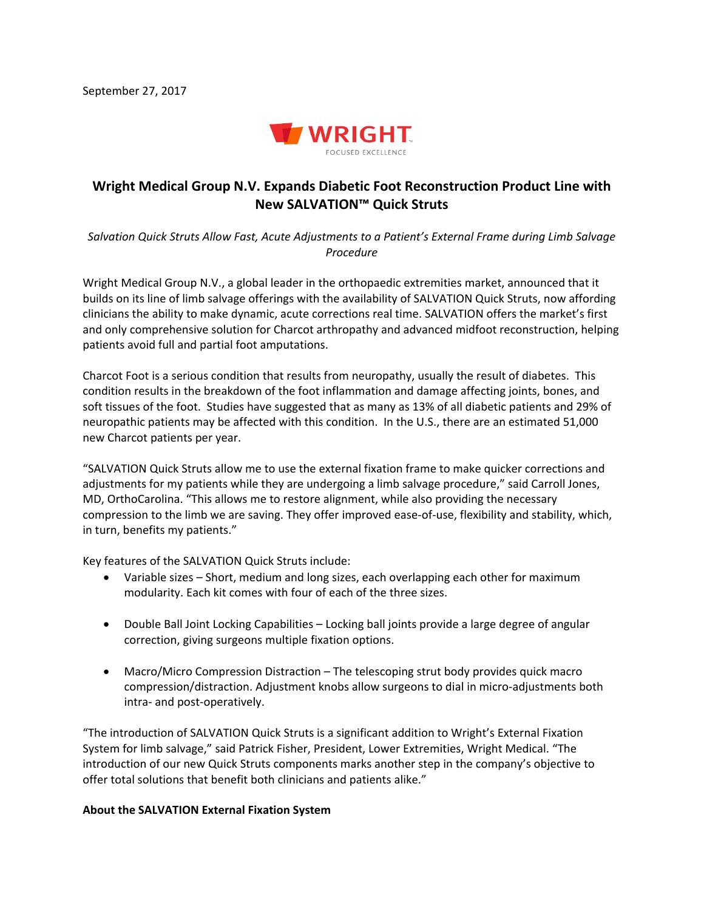

## **Wright Medical Group N.V. Expands Diabetic Foot Reconstruction Product Line with New SALVATION™ Quick Struts**

*Salvation Quick Struts Allow Fast, Acute Adjustments to a Patient's External Frame during Limb Salvage Procedure*

Wright Medical Group N.V., a global leader in the orthopaedic extremities market, announced that it builds on its line of limb salvage offerings with the availability of SALVATION Quick Struts, now affording clinicians the ability to make dynamic, acute corrections real time. SALVATION offers the market's first and only comprehensive solution for Charcot arthropathy and advanced midfoot reconstruction, helping patients avoid full and partial foot amputations.

Charcot Foot is a serious condition that results from neuropathy, usually the result of diabetes. This condition results in the breakdown of the foot inflammation and damage affecting joints, bones, and soft tissues of the foot. Studies have suggested that as many as 13% of all diabetic patients and 29% of neuropathic patients may be affected with this condition. In the U.S., there are an estimated 51,000 new Charcot patients per year.

"SALVATION Quick Struts allow me to use the external fixation frame to make quicker corrections and adjustments for my patients while they are undergoing a limb salvage procedure," said Carroll Jones, MD, OrthoCarolina. "This allows me to restore alignment, while also providing the necessary compression to the limb we are saving. They offer improved ease-of-use, flexibility and stability, which, in turn, benefits my patients."

Key features of the SALVATION Quick Struts include:

- Variable sizes Short, medium and long sizes, each overlapping each other for maximum modularity. Each kit comes with four of each of the three sizes.
- Double Ball Joint Locking Capabilities Locking ball joints provide a large degree of angular correction, giving surgeons multiple fixation options.
- Macro/Micro Compression Distraction The telescoping strut body provides quick macro compression/distraction. Adjustment knobs allow surgeons to dial in micro-adjustments both intra- and post-operatively.

"The introduction of SALVATION Quick Struts is a significant addition to Wright's External Fixation System for limb salvage," said Patrick Fisher, President, Lower Extremities, Wright Medical. "The introduction of our new Quick Struts components marks another step in the company's objective to offer total solutions that benefit both clinicians and patients alike."

## **About the SALVATION External Fixation System**